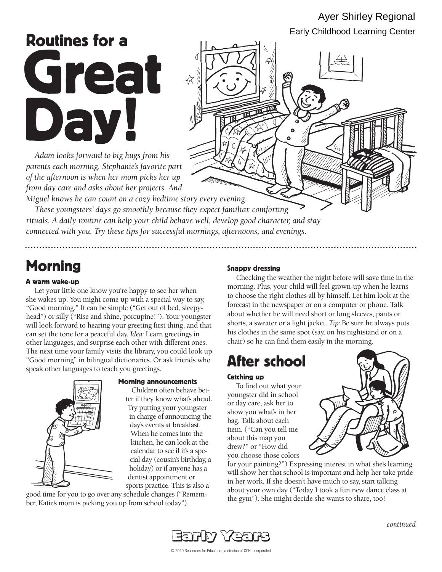# Ayer Shirley Regional Early Childhood Learning Center

# Routines for a Great Day!

*Adam looks forward to big hugs from his parents each morning. Stephanie's favorite part of the afternoon is when her mom picks her up from day care and asks about her projects. And* 



*rituals. A daily routine can help your child behave well, develop good character, and stay connected with you. Try these tips for successful mornings, afternoons, and evenings.* 

# Morning Shappy dressing

# A warm wake-up

Let your little one know you're happy to see her when she wakes up. You might come up with a special way to say, "Good morning." It can be simple ("Get out of bed, sleepyhead") or silly ("Rise and shine, porcupine!"). Your youngster will look forward to hearing your greeting first thing, and that can set the tone for a peaceful day. *Idea:* Learn greetings in other languages, and surprise each other with different ones. The next time your family visits the library, you could look up "Good morning" in bilingual dictionaries. Or ask friends who speak other languages to teach you greetings.



### Morning announcements

Children often behave better if they know what's ahead. Try putting your youngster in charge of announcing the day's events at breakfast. When he comes into the kitchen, he can look at the calendar to see if it's a special day (cousin's birthday, a holiday) or if anyone has a dentist appointment or sports practice. This is also a

good time for you to go over any schedule changes ("Remember, Katie's mom is picking you up from school today").

Checking the weather the night before will save time in the morning. Plus, your child will feel grown-up when he learns to choose the right clothes all by himself. Let him look at the forecast in the newspaper or on a computer or phone. Talk about whether he will need short or long sleeves, pants or shorts, a sweater or a light jacket. *Tip:* Be sure he always puts his clothes in the same spot (say, on his nightstand or on a chair) so he can find them easily in the morning.

# After school

## Catching up

To find out what your youngster did in school or day care, ask her to show you what's in her bag. Talk about each item. ("Can you tell me about this map you drew?" or "How did you choose those colors



for your painting?") Expressing interest in what she's learning will show her that school is important and help her take pride in her work. If she doesn't have much to say, start talking about your own day ("Today I took a fun new dance class at the gym"). She might decide she wants to share, too!